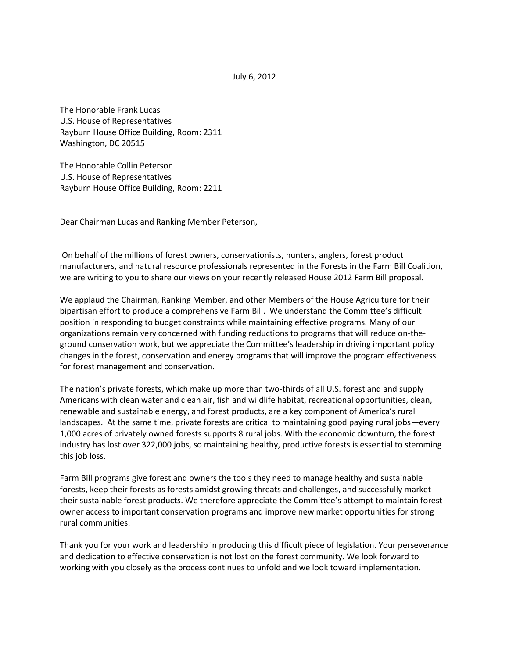The Honorable Frank Lucas U.S. House of Representatives Rayburn House Office Building, Room: 2311 Washington, DC 20515

The Honorable Collin Peterson U.S. House of Representatives Rayburn House Office Building, Room: 2211

Dear Chairman Lucas and Ranking Member Peterson,

On behalf of the millions of forest owners, conservationists, hunters, anglers, forest product manufacturers, and natural resource professionals represented in the Forests in the Farm Bill Coalition, we are writing to you to share our views on your recently released House 2012 Farm Bill proposal.

We applaud the Chairman, Ranking Member, and other Members of the House Agriculture for their bipartisan effort to produce a comprehensive Farm Bill. We understand the Committee's difficult position in responding to budget constraints while maintaining effective programs. Many of our organizations remain very concerned with funding reductions to programs that will reduce on-theground conservation work, but we appreciate the Committee's leadership in driving important policy changes in the forest, conservation and energy programs that will improve the program effectiveness for forest management and conservation.

The nation's private forests, which make up more than two-thirds of all U.S. forestland and supply Americans with clean water and clean air, fish and wildlife habitat, recreational opportunities, clean, renewable and sustainable energy, and forest products, are a key component of America's rural landscapes. At the same time, private forests are critical to maintaining good paying rural jobs—every 1,000 acres of privately owned forests supports 8 rural jobs. With the economic downturn, the forest industry has lost over 322,000 jobs, so maintaining healthy, productive forests is essential to stemming this job loss.

Farm Bill programs give forestland owners the tools they need to manage healthy and sustainable forests, keep their forests as forests amidst growing threats and challenges, and successfully market their sustainable forest products. We therefore appreciate the Committee's attempt to maintain forest owner access to important conservation programs and improve new market opportunities for strong rural communities.

Thank you for your work and leadership in producing this difficult piece of legislation. Your perseverance and dedication to effective conservation is not lost on the forest community. We look forward to working with you closely as the process continues to unfold and we look toward implementation.